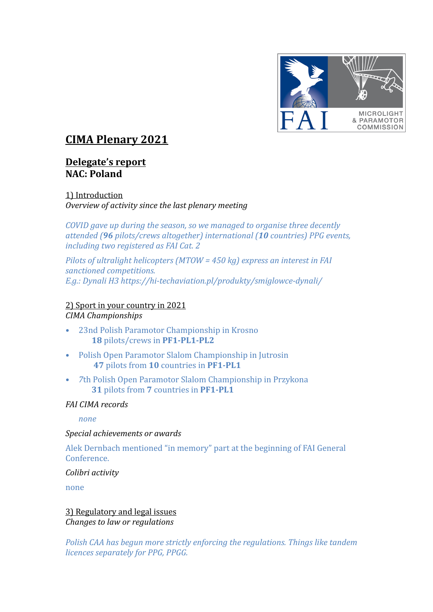

# **CIMA Plenary 2021**

## **Delegate's report NAC: Poland**

1) Introduction *Overview of activity since the last plenary meeting* 

*COVID* gave up during the season, so we managed to organise three decently *attended (96 pilots/crews altogether) international (10 countries) PPG events, including two registered as FAI Cat. 2* 

*Pilots of ultralight helicopters (MTOW = 450 kg) express an interest in FAI sanctioned competitions. E.g.: Dynali H3 https://hi-techaviation.pl/produkty/smiglowce-dynali/* 

2) Sport in your country in 2021 *CIMA Championships*

- 23nd Polish Paramotor Championship in Krosno 18 pilots/crews in PF1-PL1-PL2
- Polish Open Paramotor Slalom Championship in Jutrosin **47** pilots from **10** countries in **PF1-PL1**
- *7*th Polish Open Paramotor Slalom Championship in Przykona **31** pilots from **7** countries in **PF1-PL1**

## *FAI CIMA records*

*none*

#### *Special achievements or awards*

Alek Dernbach mentioned "in memory" part at the beginning of FAI General Conference.

*Colibri activity*

none

3) Regulatory and legal issues *Changes to law or regulations* 

*Polish CAA has begun more strictly enforcing the regulations. Things like tandem licences separately for PPG, PPGG.*